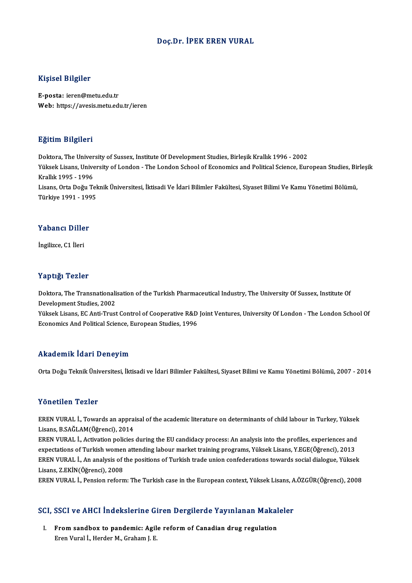### Doç.Dr. İPEK EREN VURAL

### Kişisel Bilgiler

E-posta: ieren@metu.edu.tr Web: https://avesis.metu.edu.tr/ieren

### Eğitim Bilgileri

E<mark>ğitim Bilgileri</mark><br>Doktora, The University of Sussex, Institute Of Development Studies, Birleşik Krallık 1996 - 2002<br>Yüksek Lisans, University of Landan , The Landan School of Economics and Political Science, Eur Yüksek Lisans, University of London - The London School of Economics and Political Science, European Studies, Birleşik<br>Krallık 1995 - 1996 Doktora, The Univer<br>Yüksek Lisans, Unive<br>Krallık 1995 - 1996<br>Lisans, Orta Doğu Te Yüksek Lisans, University of London - The London School of Economics and Political Science, European Studies, Bi<br>Krallık 1995 - 1996<br>Lisans, Orta Doğu Teknik Üniversitesi, İktisadi Ve İdari Bilimler Fakültesi, Siyaset Bili Krallık 1995 - 1996<br>Lisans, Orta Doğu Te<del>l</del><br>Türkiye 1991 - 1995

# Türkiye 1991 - 1995<br>Yabancı Diller

İngilizce,C1 İleri

### Yaptığı Tezler

Yaptığı Tezler<br>Doktora, The Transnationalisation of the Turkish Pharmaceutical Industry, The University Of Sussex, Institute Of<br>Development Studies, 2002 Property Political<br>Doktora, The Transnationali<br>Development Studies, 2002<br>Vikeok Licans, EC Anti Trust Doktora, The Transnationalisation of the Turkish Pharmaceutical Industry, The University Of Sussex, Institute Of<br>Development Studies, 2002<br>Yüksek Lisans, EC Anti-Trust Control of Cooperative R&D Joint Ventures, University

Development Studies, 2002<br>Yüksek Lisans, EC Anti-Trust Control of Cooperative R&D<br>Economics And Political Science, European Studies, 1996 Economics And Political Science, European Studies, 1996<br>Akademik İdari Deneyim

Orta Doğu Teknik Üniversitesi, İktisadi ve İdari Bilimler Fakültesi, Siyaset Bilimi ve Kamu Yönetimi Bölümü, 2007 - 2014

### Yönetilen Tezler

Yönetilen Tezler<br>EREN VURAL İ., Towards an appraisal of the academic literature on determinants of child labour in Turkey, Yüksek<br>Lisans, B.SAČLAM(Öğrensi), 2014 1 SHSENSH 1 SHS<br>EREN VURAL İ., Towards an appra<br>Lisans, B.SAĞLAM(Öğrenci), 2014<br>EPEN VURAL İ. Activation policies EREN VURAL İ., Towards an appraisal of the academic literature on determinants of child labour in Turkey, Yüksek<br>Lisans, B.SAĞLAM(Öğrenci), 2014<br>EREN VURAL İ., Activation policies during the EU candidacy process: An analys

Lisans, B.SAĞLAM(Öğrenci), 2014<br>EREN VURAL İ., Activation policies during the EU candidacy process: An analysis into the profiles, experiences and<br>expectations of Turkish women attending labour market training programs, Yü EREN VURAL İ., Activation policies during the EU candidacy process: An analysis into the profiles, experiences and<br>expectations of Turkish women attending labour market training programs, Yüksek Lisans, Y.EGE(Öğrenci), 201 expectations of Turkish womer<br>EREN VURAL İ., An analysis of<br>Lisans, Z.EKİN(Öğrenci), 2008<br>EREN VURAL İ. Bonsion reforn EREN VURAL İ., An analysis of the positions of Turkish trade union confederations towards social dialogue, Yüksek<br>Lisans, Z.EKİN(Öğrenci), 2008<br>EREN VURAL İ., Pension reform: The Turkish case in the European context, Yükse

# EREN VURAL I., Pension reiorm: The Turkish case in the European context, Tuksek Lisans, A<br>SCI, SSCI ve AHCI İndekslerine Giren Dergilerde Yayınlanan Makaleler

CI, SSCI ve AHCI İndekslerine Giren Dergilerde Yayınlanan Makal<br>I. From sandbox to pandemic: Agile reform of Canadian drug regulation I. From sandbox to pandemic: Agile reform of Canadian drug regulation<br>Eren Vural İ., Herder M., Graham J. E.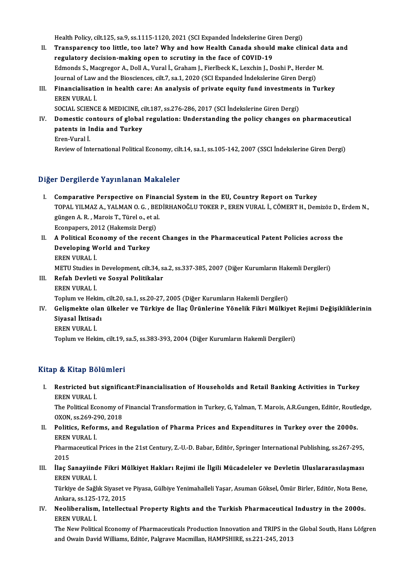Health Policy, cilt.125, sa.9, ss.1115-1120, 2021 (SCI Expanded İndekslerine Giren Dergi)<br>Transponanov tao little, tao late? Why and how Health Canada should make elij

- Health Policy, cilt.125, sa.9, ss.1115-1120, 2021 (SCI Expanded Indekslerine Giren Dergi)<br>II. Transparency too little, too late? Why and how Health Canada should make clinical data and<br>Regulatery degision making anon to se Health Policy, cilt.125, sa.9, ss.1115-1120, 2021 (SCI Expanded Indekslerine Gir<br>Transparency too little, too late? Why and how Health Canada should<br>regulatory decision-making open to scrutiny in the face of COVID-19<br>Edmon Transparency too little, too late? Why and how Health Canada should make clinical d<br>regulatory decision-making open to scrutiny in the face of COVID-19<br>Edmonds S., Macgregor A., Doll A., Vural İ., Graham J., Fierlbeck K., regulatory decision-making open to scrutiny in the face of COVID-19<br>Edmonds S., Macgregor A., Doll A., Vural İ., Graham J., Fierlbeck K., Lexchin J., Doshi P., Herder M. Edmonds S., Macgregor A., Doll A., Vural İ., Graham J., Fierlbeck K., Lexchin J., Doshi P., Herder M.<br>Journal of Law and the Biosciences, cilt.7, sa.1, 2020 (SCI Expanded Indekslerine Giren Dergi)<br>III. Financialisation in
- Journal of Law and the Biosciences, cilt.7, sa.1, 2020 (SCI Expanded Indekslerine Giren Dergi)<br>Financialisation in health care: An analysis of private equity fund investments in T<br>EREN VURAL I.<br>SOCIAL SCIENCE & MEDICINE, c Financialisation in health care: An analysis of private equity fund investments<br>EREN VURAL İ.<br>SOCIAL SCIENCE & MEDICINE, cilt.187, ss.276-286, 2017 (SCI İndekslerine Giren Dergi)<br>Demestis senteurs of slebel regulation: Und

EREN VURAL İ.<br>SOCIAL SCIENCE & MEDICINE, cilt.187, ss.276-286, 2017 (SCI İndekslerine Giren Dergi)<br>IV. Domestic contours of global regulation: Understanding the policy changes on pharmaceutical<br>natants in India and Tur SOCIAL SCIENCE & MEDICINE, c<br>Domestic contours of global<br>patents in India and Turkey<br>Eren Vural i Domestic conditional<br>Extents in I.<br>Extinue of Inte patents in India and Turkey<br>Eren-Vural İ.<br>Review of International Political Economy, cilt.14, sa.1, ss.105-142, 2007 (SSCI İndekslerine Giren Dergi)

### Diğer Dergilerde Yayınlanan Makaleler

- I. Comparative Perspective on Financial Systemin the EU, Country Report on Turkey TOPAL YILMAZ A., YALMANAN MARATENEN<br>Comparative Perspective on Financial System in the EU, Country Report on Turkey<br>TOPAL YILMAZ A., YALMAN O. G. , BEDİRHANOĞLU TOKER P., EREN VURAL İ., CÖMERT H., Demizöz D., Erdem N., Comparative Perspective on Final<br>TOPAL YILMAZ A., YALMAN O. G. , BEI<br>güngen A. R. , Marois T., Türel o., et al.<br>Feonnanore 2012 (Helsmair Dergi) TOPAL YILMAZ A., YALMAN O. G. , BE<br>güngen A. R. , Marois T., Türel o., et al<br>Econpapers, 2012 (Hakemsiz Dergi)<br>A Bolitical Economy of the reson güngen A. R. , Marois T., Türel o., et al.<br>Econpapers, 2012 (Hakemsiz Dergi)<br>II. A Political Economy of the recent Changes in the Pharmaceutical Patent Policies across the<br>Developing World and Turkey
- Econpapers, 2012 (Hakemsiz Derg<br>A Political Economy of the rece<br>Developing World and Turkey<br>EPEN VURAL İ A Political Ecc<br>Developing W<br>EREN VURAL İ.<br>METU Studios i Developing World and Turkey<br>EREN VURAL İ.<br>METU Studies in Development, cilt.34, sa.2, ss.337-385, 2007 (Diğer Kurumların Hakemli Dergileri)<br>Befah Devleti ve Sosyal Belitikalar EREN VURAL İ.<br>METU Studies in Development, cilt.34, s<br>III. Refah Devleti ve Sosyal Politikalar<br>EREN VURAL İ.
- METU Studies i<mark><br>Refah Devleti</mark><br>EREN VURAL İ.<br>Toplum ve Heli Refah Devleti ve Sosyal Politikalar<br>EREN VURAL İ.<br>Toplum ve Hekim, cilt.20, sa.1, ss.20-27, 2005 (Diğer Kurumların Hakemli Dergileri)<br>Colismekte olan ülkeler ve Türkiye de İleş Ününlerine Yönelik Fikri Mülkiy
- EREN VURAL İ.<br>Toplum ve Hekim, cilt.20, sa.1, ss.20-27, 2005 (Diğer Kurumların Hakemli Dergileri)<br>IV. Gelişmekte olan ülkeler ve Türkiye de İlaç Ürünlerine Yönelik Fikri Mülkiyet Rejimi Değişikliklerinin<br>Siyasal İltisad Toplum ve Hekim<br>Gelişmekte olar<br>Siyasal İktisadı<br>EREN VURALİ Gelişmekte ol:<br>Siyasal İktisad<br>EREN VURAL İ.<br>Tonlum ve Heli Siyasal İktisadı<br>EREN VURAL İ.<br>Toplum ve Hekim, cilt.19, sa.5, ss.383-393, 2004 (Diğer Kurumların Hakemli Dergileri)

## Kitap & Kitap Bölümleri

Itap & Kitap Bölümleri<br>I. Restricted but significant:Financialisation of Households and Retail Banking Activities in Turkey<br>RERN VURAL İ p & marp 25<br>Restricted but<br>EREN VURAL İ.<br>The Political Fe Restricted but significant:Financialisation of Households and Retail Banking Activities in Turkey<br>EREN VURAL İ.<br>The Political Economy of Financial Transformation in Turkey, G, Yalman, T. Marois, A.R.Gungen, Editör, Routled

EREN VURAL İ.<br>The Political Economy of Financial Transformation in Turkey, G, Yalman, T. Marois, A.R.Gungen, Editör, Routledge,<br>OXON, ss.269-290, 2018 The Political Economy of Financial Transformation in Turkey, G, Yalman, T. Marois, A.R.Gungen, Editör, Routle<br>OXON, ss.269-290, 2018<br>II. Politics, Reforms, and Regulation of Pharma Prices and Expenditures in Turkey over th

OXON, ss.269-2<br>Politics, Refor<br>EREN VURAL İ.<br>Pharmaqquitçal Politics, Reforms, and Regulation of Pharma Prices and Expenditures in Turkey over the 2000s.<br>EREN VURAL İ.<br>Pharmaceutical Prices in the 21st Century, Z.-U.-D. Babar, Editör, Springer International Publishing, ss.267-295,<br>

EREN<br>Pharm<br>2015<br>ilos S Pharmaceutical Prices in the 21st Century, Z.-U.-D. Babar, Editör, Springer International Publishing, ss.267-295,<br>2015<br>III. İlaç Sanayiinde Fikri Mülkiyet Hakları Rejimi ile İlgili Mücadeleler ve Devletin Uluslararasılaşma

2015<br>III. İlaç Sanayiinde Fikri Mülkiyet Hakları Rejimi ile İlgili Mücadeleler ve Devletin Uluslararasılaşması<br>EREN VURAL İ. İlaç Sanayiinde Fikri Mülkiyet Hakları Rejimi ile İlgili Mücadeleler ve Devletin Uluslararasılaşması<br>EREN VURAL İ.<br>Türkiye de Sağlık Siyaset ve Piyasa, Gülbiye Yenimahalleli Yaşar, Asuman Göksel, Ömür Birler, Editör, Nota

EREN VURAL İ.<br>Türkiye de Sağlık Siyaset v<br>Ankara, ss.125-172, 2015<br>Nealibaralism, Intallast Türkiye de Sağlık Siyaset ve Piyasa, Gülbiye Yenimahalleli Yaşar, Asuman Göksel, Ömür Birler, Editör, Nota Bene<br>Ankara, ss.125-172, 2015<br>IV. Neoliberalism, Intellectual Property Rights and the Turkish Pharmaceutical In

Ankara, ss.125-172, 2015<br>IV. Neoliberalism, Intellectual Property Rights and the Turkish Pharmaceutical Industry in the 2000s.<br>EREN VURAL İ. Neoliberalism, Intellectual Property Rights and the Turkish Pharmaceutical Industry in the 2000s.<br>EREN VURAL İ.<br>The New Political Economy of Pharmaceuticals Production Innovation and TRIPS in the Global South, Hans Löfgren

EREN VURAL İ.<br>The New Political Economy of Pharmaceuticals Production Innovation and TRIPS in th<br>and Owain David Williams, Editör, Palgrave Macmillan, HAMPSHIRE, ss.221-245, 2013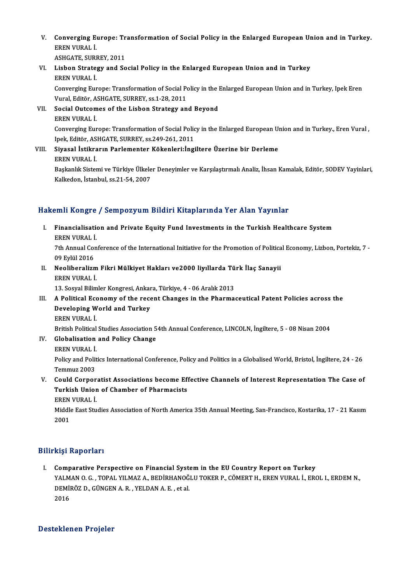V. Converging Europe: Transformation of Social Policy in the Enlarged European Union and in Turkey. Converging Electron<br>EREN VURAL İ.<br>ASUCATE SUPI Converging Europe: Tr<br>EREN VURAL İ.<br>ASHGATE, SURREY, 2011<br>Lisbon Strategy and Se

ASHGATE, SURREY, 2011

EREN VURAL İ.<br>ASHGATE, SURREY, 2011<br>VI. Lisbon Strategy and Social Policy in the Enlarged European Union and in Turkey<br>EREN VURAL İ. Lisbon Strategy and Social Policy in the Enlarged European Union and in Turkey<br>EREN VURAL İ.<br>Converging Europe: Transformation of Social Policy in the Enlarged European Union and in Turkey, Ipek Eren<br>Vural Editär, ASHCATE,

EREN VURAL İ.<br>Converging Europe: Transformation of Social Po<br>Vural, Editör, ASHGATE, SURREY, ss.1-28, 2011<br>Social Qutsomes of the Lisbon Stratogy an Vural, Editör, ASHGATE, SURREY, ss.1-28, 2011

- VII. Social Outcomes of the Lisbon Strategy and Beyond<br>EREN VURAL İ. Social Outcomes of the Lisbon Strategy and Beyond<br>EREN VURAL İ.<br>Converging Europe: Transformation of Social Policy in the Enlarged European Union and in Turkey., Eren Vural , EREN VURAL İ.<br>Converging Europe: Transformation of Social Polic<br>Ipek, Editör, ASHGATE, SURREY, ss.249-261, 2011<br>Siyasal İstikrarın Barlamantar Kökanları'darı Ipek, Editör, ASHGATE, SURREY, ss.249-261, 2011
- VIII. Siyasal İstikrarın Parlementer Kökenleri:İngiltere Üzerine bir Derleme<br>EREN VURAL İ.

Siyasal İstikrarın Parlementer Kökenleri:İngiltere Üzerine bir Derleme<br>EREN VURAL İ.<br>Başkanlık Sistemi ve Türkiye Ülkeler Deneyimler ve Karşılaştırmalı Analiz, İhsan Kamalak, Editör, SODEV Yayinlari,<br>Kalkadan, İstanbul 98. EREN VURAL İ.<br>Başkanlık Sistemi ve Türkiye Ülkele<br>Kalkedon, İstanbul, ss.21-54, 2007

# Kalkedon, İstanbul, ss.21-54, 2007<br>Hakemli Kongre / Sempozyum Bildiri Kitaplarında Yer Alan Yayınlar

akemli Kongre / Sempozyum Bildiri Kitaplarında Yer Alan Yayınlar<br>I. Financialisation and Private Equity Fund Investments in the Turkish Healthcare System<br>FREN VIRAL İ EREN VURAL İ.<br>EREN VURAL İ.<br>7th Annual Can Financialisation and Private Equity Fund Investments in the Turkish Healthcare System<br>EREN VURAL İ.<br>7th Annual Conference of the International Initiative for the Promotion of Political Economy, Lizbon, Portekiz, 7 -<br>09 Fri

EREN VURAL İ<br>7th Annual Co<br>09 Eylül 2016<br>Neoliberalizm Tth Annual Conference of the International Initiative for the Promotion of Politic:<br>09 Eylül 2016<br>II. Neoliberalizm Fikri Mülkiyet Hakları ve2000 liyıllarda Türk İlaç Sanayii<br>EREN VURAL İ

09 Eylül 2016<br>Neoliberalizm<br>EREN VURAL İ.<br>12 Sesvel Bilim Neoliberalizm Fikri Mülkiyet Hakları ve2000 liyıllarda Tü<br>EREN VURAL İ.<br>13. Sosyal Bilimler Kongresi, Ankara, Türkiye, 4 - 06 Aralık 2013<br>A Political Economy of the resent Changes in the Pharma

EREN VURAL İ.<br>13. Sosyal Bilimler Kongresi, Ankara, Türkiye, 4 - 06 Aralık 2013<br>III. A Political Economy of the recent Changes in the Pharmaceutical Patent Policies across the<br>Developing World and Turkey. 13. Sosyal Bilimler Kongresi, Ankar<br>A Political Economy of the rece<br>Developing World and Turkey A Political Ecc<br>Developing W<br>EREN VURAL İ.<br>Pritish Political Developing World and Turkey<br>EREN VURAL İ.<br>British Political Studies Association 54th Annual Conference, LINCOLN, İngiltere, 5 - 08 Nisan 2004<br>Clabalisation and Bolisy Change EREN VURAL İ.<br>British Political Studies Association 5<br>IV. Globalisation and Policy Change

- British Political<br>Globalisation<br>EREN VURAL İ.<br>Polisy and Polit
	- EREN VURAL İ

Policy and Politics International Conference, Policy and Politics in a Globalised World, Bristol, İngiltere, 24 - 26<br>Temmuz 2003

V. Could Corporatist Associations become Effective Channels of Interest Representation The Case of Temmuz 2003<br>Could Corporatist Associations become Ef!<br>Turkish Union of Chamber of Pharmacists<br>FREN VURAL İ Could Corpor<br>Turkish Unior<br>EREN VURAL İ.<br>Middle Fast Stu

Turkish Union of Chamber of Pharmacists<br>EREN VURAL İ.<br>Middle East Studies Association of North America 35th Annual Meeting, San-Francisco, Kostarika, 17 - 21 Kasım EREN<br>Middl<br>2001

# 2001<br>Bilirkişi Raporları

I. Comparative Perspective on Financial Systemin the EU Country Report on Turkey YALMAN O. G. , TOPAL YILMAZ A., BEDİRHANOĞLU TOKER P., CÖMERTH., EREN VURAL İ., EROL I., ERDEMN., Comparative Perspective on Financial Syst<br>YALMAN O.G. , TOPAL YILMAZ A., BEDİRHANOĞ<br>DEMİRÖZ D., GÜNGEN A.R. , YELDAN A.E. , et al.<br>2016 YALM<br>DEMİI<br>2016

# Desteklenen Projeler